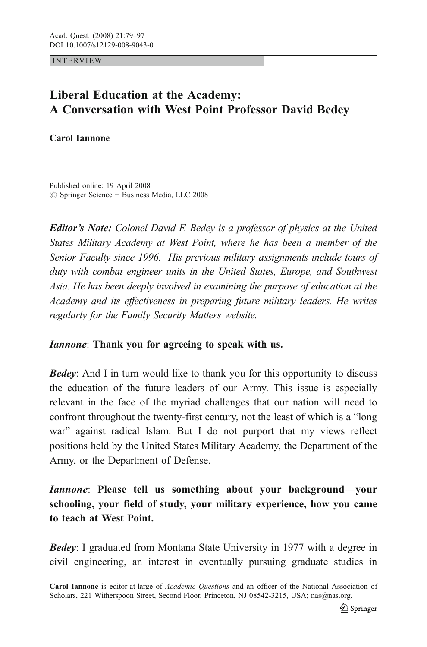INTERVIEW

# Liberal Education at the Academy: A Conversation with West Point Professor David Bedey

#### Carol Iannone

Published online: 19 April 2008  $\circ$  Springer Science + Business Media, LLC 2008

Editor*'*s Note: Colonel David F. Bedey is a professor of physics at the United States Military Academy at West Point, where he has been a member of the Senior Faculty since 1996. His previous military assignments include tours of duty with combat engineer units in the United States, Europe, and Southwest Asia. He has been deeply involved in examining the purpose of education at the Academy and its effectiveness in preparing future military leaders. He writes regularly for the Family Security Matters website.

#### Iannone: Thank you for agreeing to speak with us.

**Bedey:** And I in turn would like to thank you for this opportunity to discuss the education of the future leaders of our Army. This issue is especially relevant in the face of the myriad challenges that our nation will need to confront throughout the twenty-first century, not the least of which is a "long war" against radical Islam. But I do not purport that my views reflect positions held by the United States Military Academy, the Department of the Army, or the Department of Defense.

Iannone: Please tell us something about your background—your schooling, your field of study, your military experience, how you came to teach at West Point.

**Bedey**: I graduated from Montana State University in 1977 with a degree in civil engineering, an interest in eventually pursuing graduate studies in

Carol Iannone is editor-at-large of Academic Questions and an officer of the National Association of Scholars, 221 Witherspoon Street, Second Floor, Princeton, NJ 08542-3215, USA; nas@nas.org.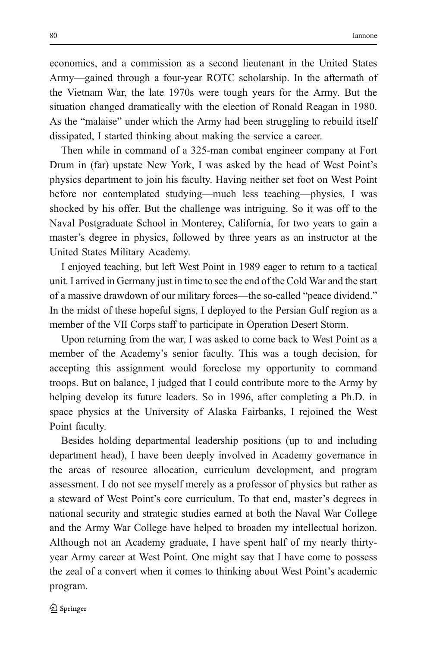economics, and a commission as a second lieutenant in the United States Army—gained through a four-year ROTC scholarship. In the aftermath of the Vietnam War, the late 1970s were tough years for the Army. But the situation changed dramatically with the election of Ronald Reagan in 1980. As the "malaise" under which the Army had been struggling to rebuild itself dissipated, I started thinking about making the service a career.

Then while in command of a 325-man combat engineer company at Fort Drum in (far) upstate New York, I was asked by the head of West Point's physics department to join his faculty. Having neither set foot on West Point before nor contemplated studying—much less teaching—physics, I was shocked by his offer. But the challenge was intriguing. So it was off to the Naval Postgraduate School in Monterey, California, for two years to gain a master's degree in physics, followed by three years as an instructor at the United States Military Academy.

I enjoyed teaching, but left West Point in 1989 eager to return to a tactical unit. I arrived in Germany just in time to see the end of the Cold War and the start of a massive drawdown of our military forces—the so-called "peace dividend." In the midst of these hopeful signs, I deployed to the Persian Gulf region as a member of the VII Corps staff to participate in Operation Desert Storm.

Upon returning from the war, I was asked to come back to West Point as a member of the Academy's senior faculty. This was a tough decision, for accepting this assignment would foreclose my opportunity to command troops. But on balance, I judged that I could contribute more to the Army by helping develop its future leaders. So in 1996, after completing a Ph.D. in space physics at the University of Alaska Fairbanks, I rejoined the West Point faculty.

Besides holding departmental leadership positions (up to and including department head), I have been deeply involved in Academy governance in the areas of resource allocation, curriculum development, and program assessment. I do not see myself merely as a professor of physics but rather as a steward of West Point's core curriculum. To that end, master's degrees in national security and strategic studies earned at both the Naval War College and the Army War College have helped to broaden my intellectual horizon. Although not an Academy graduate, I have spent half of my nearly thirtyyear Army career at West Point. One might say that I have come to possess the zeal of a convert when it comes to thinking about West Point's academic program.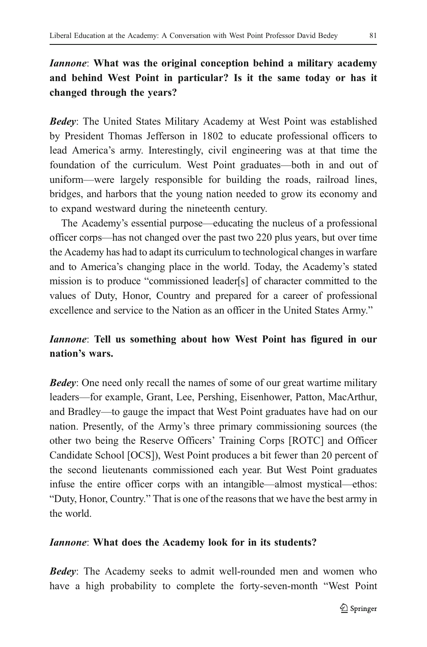# Iannone: What was the original conception behind a military academy and behind West Point in particular? Is it the same today or has it changed through the years?

Bedey: The United States Military Academy at West Point was established by President Thomas Jefferson in 1802 to educate professional officers to lead America's army. Interestingly, civil engineering was at that time the foundation of the curriculum. West Point graduates—both in and out of uniform—were largely responsible for building the roads, railroad lines, bridges, and harbors that the young nation needed to grow its economy and to expand westward during the nineteenth century.

The Academy's essential purpose—educating the nucleus of a professional officer corps—has not changed over the past two 220 plus years, but over time the Academy has had to adapt its curriculum to technological changes in warfare and to America's changing place in the world. Today, the Academy's stated mission is to produce "commissioned leader[s] of character committed to the values of Duty, Honor, Country and prepared for a career of professional excellence and service to the Nation as an officer in the United States Army."

# Iannone: Tell us something about how West Point has figured in our nation's wars.

**Bedey**: One need only recall the names of some of our great wartime military leaders—for example, Grant, Lee, Pershing, Eisenhower, Patton, MacArthur, and Bradley—to gauge the impact that West Point graduates have had on our nation. Presently, of the Army's three primary commissioning sources (the other two being the Reserve Officers' Training Corps [ROTC] and Officer Candidate School [OCS]), West Point produces a bit fewer than 20 percent of the second lieutenants commissioned each year. But West Point graduates infuse the entire officer corps with an intangible—almost mystical—ethos: "Duty, Honor, Country." That is one of the reasons that we have the best army in the world.

#### Iannone: What does the Academy look for in its students?

**Bedey**: The Academy seeks to admit well-rounded men and women who have a high probability to complete the forty-seven-month "West Point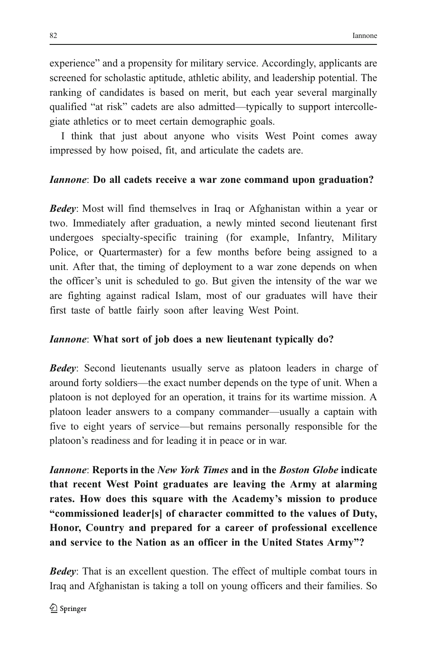experience" and a propensity for military service. Accordingly, applicants are screened for scholastic aptitude, athletic ability, and leadership potential. The ranking of candidates is based on merit, but each year several marginally qualified "at risk" cadets are also admitted—typically to support intercollegiate athletics or to meet certain demographic goals.

I think that just about anyone who visits West Point comes away impressed by how poised, fit, and articulate the cadets are.

#### Iannone: Do all cadets receive a war zone command upon graduation?

**Bedey**: Most will find themselves in Iraq or Afghanistan within a year or two. Immediately after graduation, a newly minted second lieutenant first undergoes specialty-specific training (for example, Infantry, Military Police, or Quartermaster) for a few months before being assigned to a unit. After that, the timing of deployment to a war zone depends on when the officer's unit is scheduled to go. But given the intensity of the war we are fighting against radical Islam, most of our graduates will have their first taste of battle fairly soon after leaving West Point.

#### Iannone: What sort of job does a new lieutenant typically do?

**Bedey**: Second lieutenants usually serve as platoon leaders in charge of around forty soldiers—the exact number depends on the type of unit. When a platoon is not deployed for an operation, it trains for its wartime mission. A platoon leader answers to a company commander—usually a captain with five to eight years of service—but remains personally responsible for the platoon's readiness and for leading it in peace or in war.

Iannone: Reports in the New York Times and in the Boston Globe indicate that recent West Point graduates are leaving the Army at alarming rates. How does this square with the Academy's mission to produce "commissioned leader[s] of character committed to the values of Duty, Honor, Country and prepared for a career of professional excellence and service to the Nation as an officer in the United States Army"?

**Bedey**: That is an excellent question. The effect of multiple combat tours in Iraq and Afghanistan is taking a toll on young officers and their families. So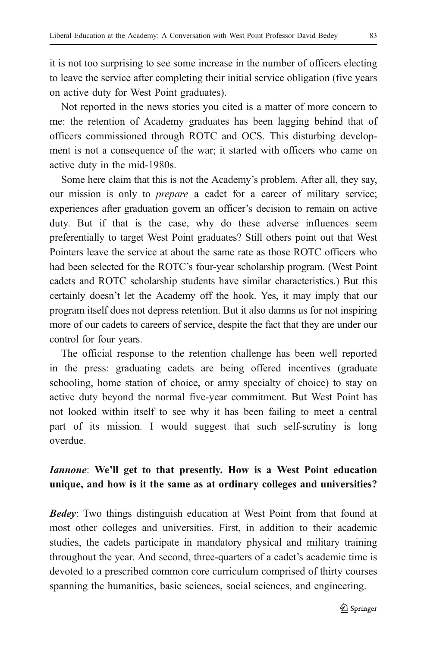it is not too surprising to see some increase in the number of officers electing to leave the service after completing their initial service obligation (five years on active duty for West Point graduates).

Not reported in the news stories you cited is a matter of more concern to me: the retention of Academy graduates has been lagging behind that of officers commissioned through ROTC and OCS. This disturbing development is not a consequence of the war; it started with officers who came on active duty in the mid-1980s.

Some here claim that this is not the Academy's problem. After all, they say, our mission is only to prepare a cadet for a career of military service; experiences after graduation govern an officer's decision to remain on active duty. But if that is the case, why do these adverse influences seem preferentially to target West Point graduates? Still others point out that West Pointers leave the service at about the same rate as those ROTC officers who had been selected for the ROTC's four-year scholarship program. (West Point cadets and ROTC scholarship students have similar characteristics.) But this certainly doesn't let the Academy off the hook. Yes, it may imply that our program itself does not depress retention. But it also damns us for not inspiring more of our cadets to careers of service, despite the fact that they are under our control for four years.

The official response to the retention challenge has been well reported in the press: graduating cadets are being offered incentives (graduate schooling, home station of choice, or army specialty of choice) to stay on active duty beyond the normal five-year commitment. But West Point has not looked within itself to see why it has been failing to meet a central part of its mission. I would suggest that such self-scrutiny is long overdue.

## Iannone: We'll get to that presently. How is a West Point education unique, and how is it the same as at ordinary colleges and universities?

**Bedey**: Two things distinguish education at West Point from that found at most other colleges and universities. First, in addition to their academic studies, the cadets participate in mandatory physical and military training throughout the year. And second, three-quarters of a cadet's academic time is devoted to a prescribed common core curriculum comprised of thirty courses spanning the humanities, basic sciences, social sciences, and engineering.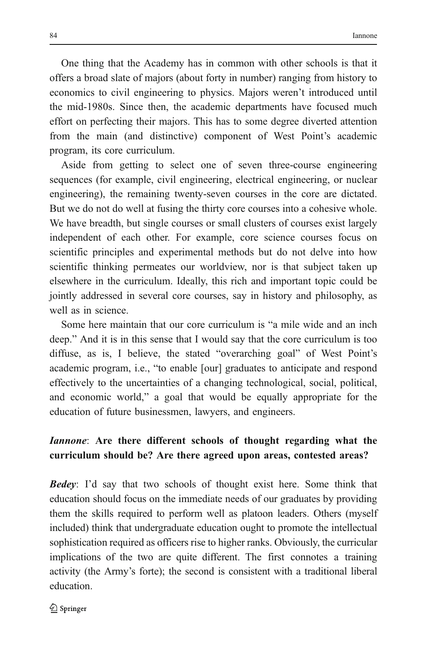One thing that the Academy has in common with other schools is that it offers a broad slate of majors (about forty in number) ranging from history to economics to civil engineering to physics. Majors weren't introduced until the mid-1980s. Since then, the academic departments have focused much effort on perfecting their majors. This has to some degree diverted attention from the main (and distinctive) component of West Point's academic program, its core curriculum.

Aside from getting to select one of seven three-course engineering sequences (for example, civil engineering, electrical engineering, or nuclear engineering), the remaining twenty-seven courses in the core are dictated. But we do not do well at fusing the thirty core courses into a cohesive whole. We have breadth, but single courses or small clusters of courses exist largely independent of each other. For example, core science courses focus on scientific principles and experimental methods but do not delve into how scientific thinking permeates our worldview, nor is that subject taken up elsewhere in the curriculum. Ideally, this rich and important topic could be jointly addressed in several core courses, say in history and philosophy, as well as in science.

Some here maintain that our core curriculum is "a mile wide and an inch deep." And it is in this sense that I would say that the core curriculum is too diffuse, as is, I believe, the stated "overarching goal" of West Point's academic program, i.e., "to enable [our] graduates to anticipate and respond effectively to the uncertainties of a changing technological, social, political, and economic world," a goal that would be equally appropriate for the education of future businessmen, lawyers, and engineers.

#### Iannone: Are there different schools of thought regarding what the curriculum should be? Are there agreed upon areas, contested areas?

**Bedey**: I'd say that two schools of thought exist here. Some think that education should focus on the immediate needs of our graduates by providing them the skills required to perform well as platoon leaders. Others (myself included) think that undergraduate education ought to promote the intellectual sophistication required as officers rise to higher ranks. Obviously, the curricular implications of the two are quite different. The first connotes a training activity (the Army's forte); the second is consistent with a traditional liberal education.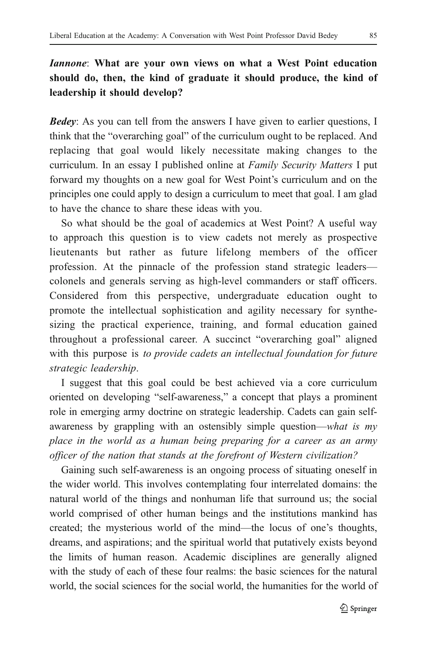# Iannone: What are your own views on what a West Point education should do, then, the kind of graduate it should produce, the kind of leadership it should develop?

**Bedey**: As you can tell from the answers I have given to earlier questions, I think that the "overarching goal" of the curriculum ought to be replaced. And replacing that goal would likely necessitate making changes to the curriculum. In an essay I published online at Family Security Matters I put forward my thoughts on a new goal for West Point's curriculum and on the principles one could apply to design a curriculum to meet that goal. I am glad to have the chance to share these ideas with you.

So what should be the goal of academics at West Point? A useful way to approach this question is to view cadets not merely as prospective lieutenants but rather as future lifelong members of the officer profession. At the pinnacle of the profession stand strategic leaders colonels and generals serving as high-level commanders or staff officers. Considered from this perspective, undergraduate education ought to promote the intellectual sophistication and agility necessary for synthesizing the practical experience, training, and formal education gained throughout a professional career. A succinct "overarching goal" aligned with this purpose is to provide cadets an intellectual foundation for future strategic leadership.

I suggest that this goal could be best achieved via a core curriculum oriented on developing "self-awareness," a concept that plays a prominent role in emerging army doctrine on strategic leadership. Cadets can gain selfawareness by grappling with an ostensibly simple question—what is my place in the world as a human being preparing for a career as an army officer of the nation that stands at the forefront of Western civilization?

Gaining such self-awareness is an ongoing process of situating oneself in the wider world. This involves contemplating four interrelated domains: the natural world of the things and nonhuman life that surround us; the social world comprised of other human beings and the institutions mankind has created; the mysterious world of the mind—the locus of one's thoughts, dreams, and aspirations; and the spiritual world that putatively exists beyond the limits of human reason. Academic disciplines are generally aligned with the study of each of these four realms: the basic sciences for the natural world, the social sciences for the social world, the humanities for the world of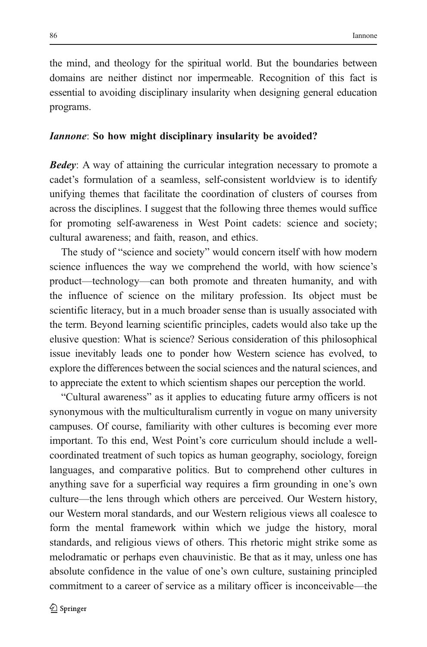the mind, and theology for the spiritual world. But the boundaries between domains are neither distinct nor impermeable. Recognition of this fact is essential to avoiding disciplinary insularity when designing general education programs.

#### Iannone: So how might disciplinary insularity be avoided?

**Bedey:** A way of attaining the curricular integration necessary to promote a cadet's formulation of a seamless, self-consistent worldview is to identify unifying themes that facilitate the coordination of clusters of courses from across the disciplines. I suggest that the following three themes would suffice for promoting self-awareness in West Point cadets: science and society; cultural awareness; and faith, reason, and ethics.

The study of "science and society" would concern itself with how modern science influences the way we comprehend the world, with how science's product—technology—can both promote and threaten humanity, and with the influence of science on the military profession. Its object must be scientific literacy, but in a much broader sense than is usually associated with the term. Beyond learning scientific principles, cadets would also take up the elusive question: What is science? Serious consideration of this philosophical issue inevitably leads one to ponder how Western science has evolved, to explore the differences between the social sciences and the natural sciences, and to appreciate the extent to which scientism shapes our perception the world.

"Cultural awareness" as it applies to educating future army officers is not synonymous with the multiculturalism currently in vogue on many university campuses. Of course, familiarity with other cultures is becoming ever more important. To this end, West Point's core curriculum should include a wellcoordinated treatment of such topics as human geography, sociology, foreign languages, and comparative politics. But to comprehend other cultures in anything save for a superficial way requires a firm grounding in one's own culture—the lens through which others are perceived. Our Western history, our Western moral standards, and our Western religious views all coalesce to form the mental framework within which we judge the history, moral standards, and religious views of others. This rhetoric might strike some as melodramatic or perhaps even chauvinistic. Be that as it may, unless one has absolute confidence in the value of one's own culture, sustaining principled commitment to a career of service as a military officer is inconceivable—the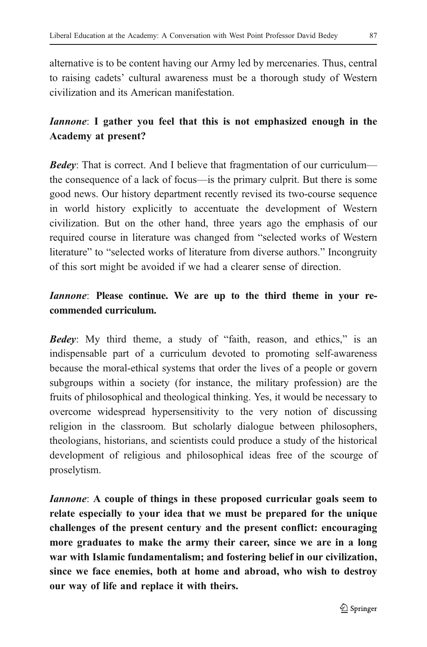alternative is to be content having our Army led by mercenaries. Thus, central to raising cadets' cultural awareness must be a thorough study of Western civilization and its American manifestation.

# Iannone: I gather you feel that this is not emphasized enough in the Academy at present?

**Bedey:** That is correct. And I believe that fragmentation of our curriculum the consequence of a lack of focus—is the primary culprit. But there is some good news. Our history department recently revised its two-course sequence in world history explicitly to accentuate the development of Western civilization. But on the other hand, three years ago the emphasis of our required course in literature was changed from "selected works of Western literature" to "selected works of literature from diverse authors." Incongruity of this sort might be avoided if we had a clearer sense of direction.

# Iannone: Please continue. We are up to the third theme in your recommended curriculum.

Bedey: My third theme, a study of "faith, reason, and ethics," is an indispensable part of a curriculum devoted to promoting self-awareness because the moral-ethical systems that order the lives of a people or govern subgroups within a society (for instance, the military profession) are the fruits of philosophical and theological thinking. Yes, it would be necessary to overcome widespread hypersensitivity to the very notion of discussing religion in the classroom. But scholarly dialogue between philosophers, theologians, historians, and scientists could produce a study of the historical development of religious and philosophical ideas free of the scourge of proselytism.

Iannone: A couple of things in these proposed curricular goals seem to relate especially to your idea that we must be prepared for the unique challenges of the present century and the present conflict: encouraging more graduates to make the army their career, since we are in a long war with Islamic fundamentalism; and fostering belief in our civilization, since we face enemies, both at home and abroad, who wish to destroy our way of life and replace it with theirs.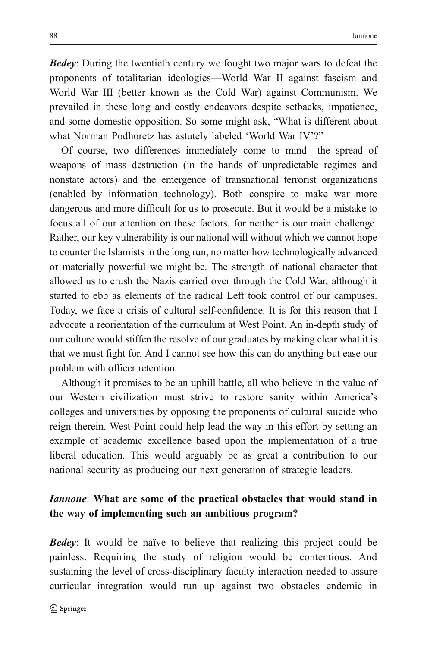**Bedey:** During the twentieth century we fought two major wars to defeat the proponents of totalitarian ideologies—World War II against fascism and World War III (better known as the Cold War) against Communism. We prevailed in these long and costly endeavors despite setbacks, impatience, and some domestic opposition. So some might ask, "What is different about what Norman Podhoretz has astutely labeled 'World War IV'?"

Of course, two differences immediately come to mind—the spread of weapons of mass destruction (in the hands of unpredictable regimes and nonstate actors) and the emergence of transnational terrorist organizations (enabled by information technology). Both conspire to make war more dangerous and more difficult for us to prosecute. But it would be a mistake to focus all of our attention on these factors, for neither is our main challenge. Rather, our key vulnerability is our national will without which we cannot hope to counter the Islamists in the long run, no matter how technologically advanced or materially powerful we might be. The strength of national character that allowed us to crush the Nazis carried over through the Cold War, although it started to ebb as elements of the radical Left took control of our campuses. Today, we face a crisis of cultural self-confidence. It is for this reason that I advocate a reorientation of the curriculum at West Point. An in-depth study of our culture would stiffen the resolve of our graduates by making clear what it is that we must fight for. And I cannot see how this can do anything but ease our problem with officer retention.

Although it promises to be an uphill battle, all who believe in the value of our Western civilization must strive to restore sanity within America's colleges and universities by opposing the proponents of cultural suicide who reign therein. West Point could help lead the way in this effort by setting an example of academic excellence based upon the implementation of a true liberal education. This would arguably be as great a contribution to our national security as producing our next generation of strategic leaders.

### Iannone: What are some of the practical obstacles that would stand in the way of implementing such an ambitious program?

**Bedey**: It would be naïve to believe that realizing this project could be painless. Requiring the study of religion would be contentious. And sustaining the level of cross-disciplinary faculty interaction needed to assure curricular integration would run up against two obstacles endemic in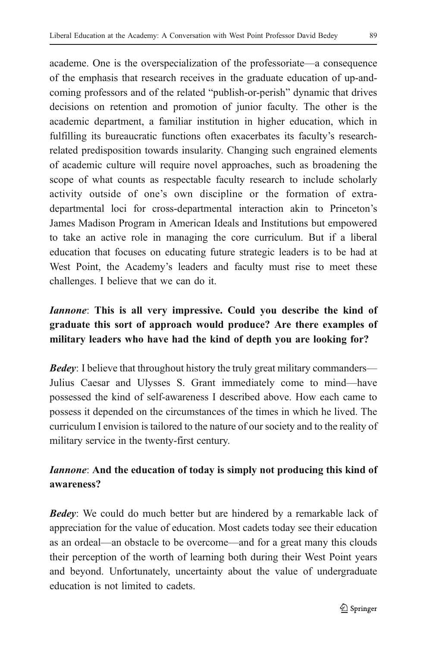academe. One is the overspecialization of the professoriate—a consequence of the emphasis that research receives in the graduate education of up-andcoming professors and of the related "publish-or-perish" dynamic that drives decisions on retention and promotion of junior faculty. The other is the academic department, a familiar institution in higher education, which in fulfilling its bureaucratic functions often exacerbates its faculty's researchrelated predisposition towards insularity. Changing such engrained elements of academic culture will require novel approaches, such as broadening the scope of what counts as respectable faculty research to include scholarly activity outside of one's own discipline or the formation of extradepartmental loci for cross-departmental interaction akin to Princeton's James Madison Program in American Ideals and Institutions but empowered to take an active role in managing the core curriculum. But if a liberal education that focuses on educating future strategic leaders is to be had at West Point, the Academy's leaders and faculty must rise to meet these challenges. I believe that we can do it.

# *Iannone*: This is all very impressive. Could you describe the kind of graduate this sort of approach would produce? Are there examples of military leaders who have had the kind of depth you are looking for?

**Bedey**: I believe that throughout history the truly great military commanders— Julius Caesar and Ulysses S. Grant immediately come to mind—have possessed the kind of self-awareness I described above. How each came to possess it depended on the circumstances of the times in which he lived. The curriculum I envision is tailored to the nature of our society and to the reality of military service in the twenty-first century.

# Iannone: And the education of today is simply not producing this kind of awareness?

**Bedey**: We could do much better but are hindered by a remarkable lack of appreciation for the value of education. Most cadets today see their education as an ordeal—an obstacle to be overcome—and for a great many this clouds their perception of the worth of learning both during their West Point years and beyond. Unfortunately, uncertainty about the value of undergraduate education is not limited to cadets.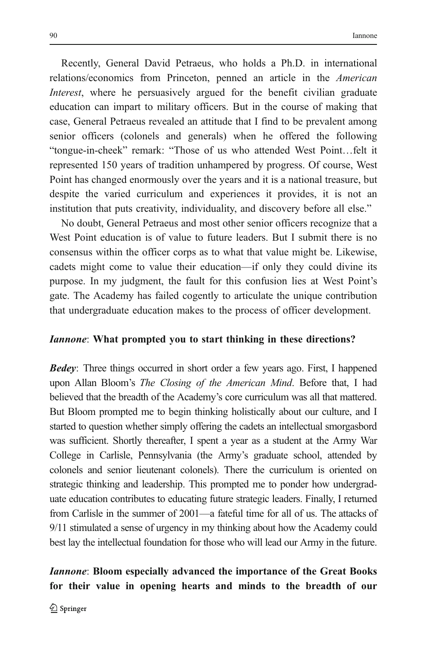Recently, General David Petraeus, who holds a Ph.D. in international relations/economics from Princeton, penned an article in the American Interest, where he persuasively argued for the benefit civilian graduate education can impart to military officers. But in the course of making that case, General Petraeus revealed an attitude that I find to be prevalent among senior officers (colonels and generals) when he offered the following "tongue-in-cheek" remark: "Those of us who attended West Point…felt it represented 150 years of tradition unhampered by progress. Of course, West Point has changed enormously over the years and it is a national treasure, but despite the varied curriculum and experiences it provides, it is not an institution that puts creativity, individuality, and discovery before all else."

No doubt, General Petraeus and most other senior officers recognize that a West Point education is of value to future leaders. But I submit there is no consensus within the officer corps as to what that value might be. Likewise, cadets might come to value their education—if only they could divine its purpose. In my judgment, the fault for this confusion lies at West Point's gate. The Academy has failed cogently to articulate the unique contribution that undergraduate education makes to the process of officer development.

#### Iannone: What prompted you to start thinking in these directions?

Bedey: Three things occurred in short order a few years ago. First, I happened upon Allan Bloom's The Closing of the American Mind. Before that, I had believed that the breadth of the Academy's core curriculum was all that mattered. But Bloom prompted me to begin thinking holistically about our culture, and I started to question whether simply offering the cadets an intellectual smorgasbord was sufficient. Shortly thereafter, I spent a year as a student at the Army War College in Carlisle, Pennsylvania (the Army's graduate school, attended by colonels and senior lieutenant colonels). There the curriculum is oriented on strategic thinking and leadership. This prompted me to ponder how undergraduate education contributes to educating future strategic leaders. Finally, I returned from Carlisle in the summer of 2001—a fateful time for all of us. The attacks of 9/11 stimulated a sense of urgency in my thinking about how the Academy could best lay the intellectual foundation for those who will lead our Army in the future.

## Iannone: Bloom especially advanced the importance of the Great Books for their value in opening hearts and minds to the breadth of our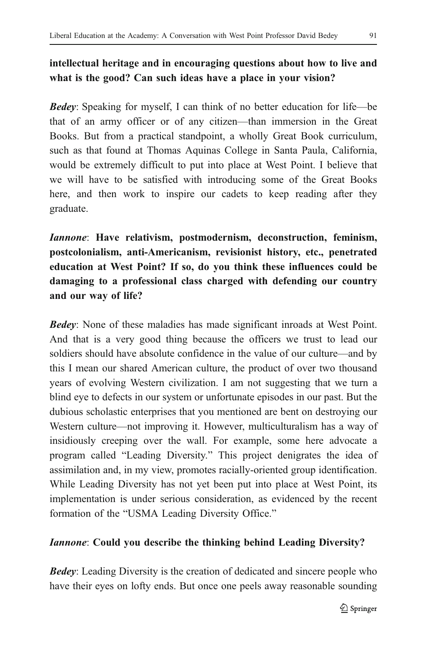## intellectual heritage and in encouraging questions about how to live and what is the good? Can such ideas have a place in your vision?

Bedey: Speaking for myself, I can think of no better education for life—be that of an army officer or of any citizen—than immersion in the Great Books. But from a practical standpoint, a wholly Great Book curriculum, such as that found at Thomas Aquinas College in Santa Paula, California, would be extremely difficult to put into place at West Point. I believe that we will have to be satisfied with introducing some of the Great Books here, and then work to inspire our cadets to keep reading after they graduate.

Iannone: Have relativism, postmodernism, deconstruction, feminism, postcolonialism, anti-Americanism, revisionist history, etc., penetrated education at West Point? If so, do you think these influences could be damaging to a professional class charged with defending our country and our way of life?

Bedey: None of these maladies has made significant inroads at West Point. And that is a very good thing because the officers we trust to lead our soldiers should have absolute confidence in the value of our culture—and by this I mean our shared American culture, the product of over two thousand years of evolving Western civilization. I am not suggesting that we turn a blind eye to defects in our system or unfortunate episodes in our past. But the dubious scholastic enterprises that you mentioned are bent on destroying our Western culture—not improving it. However, multiculturalism has a way of insidiously creeping over the wall. For example, some here advocate a program called "Leading Diversity." This project denigrates the idea of assimilation and, in my view, promotes racially-oriented group identification. While Leading Diversity has not yet been put into place at West Point, its implementation is under serious consideration, as evidenced by the recent formation of the "USMA Leading Diversity Office."

#### Iannone: Could you describe the thinking behind Leading Diversity?

**Bedey**: Leading Diversity is the creation of dedicated and sincere people who have their eyes on lofty ends. But once one peels away reasonable sounding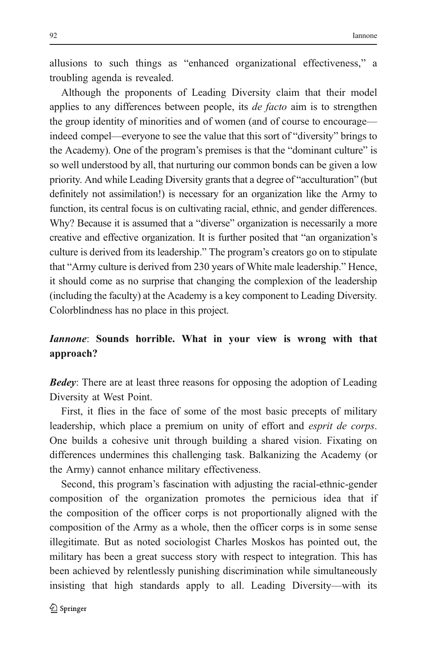allusions to such things as "enhanced organizational effectiveness," a troubling agenda is revealed.

Although the proponents of Leading Diversity claim that their model applies to any differences between people, its *de facto* aim is to strengthen the group identity of minorities and of women (and of course to encourage indeed compel—everyone to see the value that this sort of "diversity" brings to the Academy). One of the program's premises is that the "dominant culture" is so well understood by all, that nurturing our common bonds can be given a low priority. And while Leading Diversity grants that a degree of "acculturation" (but definitely not assimilation!) is necessary for an organization like the Army to function, its central focus is on cultivating racial, ethnic, and gender differences. Why? Because it is assumed that a "diverse" organization is necessarily a more creative and effective organization. It is further posited that "an organization's culture is derived from its leadership." The program's creators go on to stipulate that "Army culture is derived from 230 years of White male leadership." Hence, it should come as no surprise that changing the complexion of the leadership (including the faculty) at the Academy is a key component to Leading Diversity. Colorblindness has no place in this project.

## Iannone: Sounds horrible. What in your view is wrong with that approach?

**Bedey**: There are at least three reasons for opposing the adoption of Leading Diversity at West Point.

First, it flies in the face of some of the most basic precepts of military leadership, which place a premium on unity of effort and esprit de corps. One builds a cohesive unit through building a shared vision. Fixating on differences undermines this challenging task. Balkanizing the Academy (or the Army) cannot enhance military effectiveness.

Second, this program's fascination with adjusting the racial-ethnic-gender composition of the organization promotes the pernicious idea that if the composition of the officer corps is not proportionally aligned with the composition of the Army as a whole, then the officer corps is in some sense illegitimate. But as noted sociologist Charles Moskos has pointed out, the military has been a great success story with respect to integration. This has been achieved by relentlessly punishing discrimination while simultaneously insisting that high standards apply to all. Leading Diversity—with its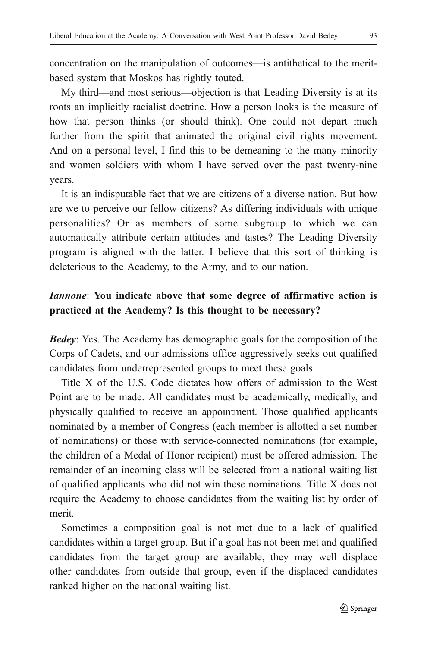concentration on the manipulation of outcomes—is antithetical to the meritbased system that Moskos has rightly touted.

My third—and most serious—objection is that Leading Diversity is at its roots an implicitly racialist doctrine. How a person looks is the measure of how that person thinks (or should think). One could not depart much further from the spirit that animated the original civil rights movement. And on a personal level, I find this to be demeaning to the many minority and women soldiers with whom I have served over the past twenty-nine years.

It is an indisputable fact that we are citizens of a diverse nation. But how are we to perceive our fellow citizens? As differing individuals with unique personalities? Or as members of some subgroup to which we can automatically attribute certain attitudes and tastes? The Leading Diversity program is aligned with the latter. I believe that this sort of thinking is deleterious to the Academy, to the Army, and to our nation.

### Iannone: You indicate above that some degree of affirmative action is practiced at the Academy? Is this thought to be necessary?

**Bedey**: Yes. The Academy has demographic goals for the composition of the Corps of Cadets, and our admissions office aggressively seeks out qualified candidates from underrepresented groups to meet these goals.

Title X of the U.S. Code dictates how offers of admission to the West Point are to be made. All candidates must be academically, medically, and physically qualified to receive an appointment. Those qualified applicants nominated by a member of Congress (each member is allotted a set number of nominations) or those with service-connected nominations (for example, the children of a Medal of Honor recipient) must be offered admission. The remainder of an incoming class will be selected from a national waiting list of qualified applicants who did not win these nominations. Title X does not require the Academy to choose candidates from the waiting list by order of merit.

Sometimes a composition goal is not met due to a lack of qualified candidates within a target group. But if a goal has not been met and qualified candidates from the target group are available, they may well displace other candidates from outside that group, even if the displaced candidates ranked higher on the national waiting list.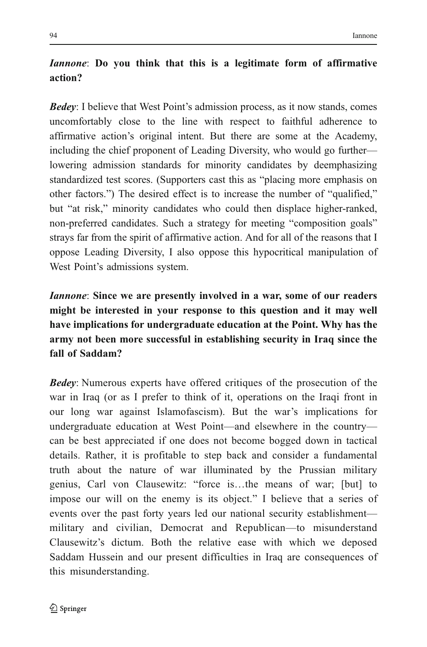## Iannone: Do you think that this is a legitimate form of affirmative action?

**Bedey**: I believe that West Point's admission process, as it now stands, comes uncomfortably close to the line with respect to faithful adherence to affirmative action's original intent. But there are some at the Academy, including the chief proponent of Leading Diversity, who would go further lowering admission standards for minority candidates by deemphasizing standardized test scores. (Supporters cast this as "placing more emphasis on other factors.") The desired effect is to increase the number of "qualified," but "at risk," minority candidates who could then displace higher-ranked, non-preferred candidates. Such a strategy for meeting "composition goals" strays far from the spirit of affirmative action. And for all of the reasons that I oppose Leading Diversity, I also oppose this hypocritical manipulation of West Point's admissions system.

Iannone: Since we are presently involved in a war, some of our readers might be interested in your response to this question and it may well have implications for undergraduate education at the Point. Why has the army not been more successful in establishing security in Iraq since the fall of Saddam?

Bedey: Numerous experts have offered critiques of the prosecution of the war in Iraq (or as I prefer to think of it, operations on the Iraqi front in our long war against Islamofascism). But the war's implications for undergraduate education at West Point—and elsewhere in the country can be best appreciated if one does not become bogged down in tactical details. Rather, it is profitable to step back and consider a fundamental truth about the nature of war illuminated by the Prussian military genius, Carl von Clausewitz: "force is…the means of war; [but] to impose our will on the enemy is its object." I believe that a series of events over the past forty years led our national security establishment military and civilian, Democrat and Republican—to misunderstand Clausewitz's dictum. Both the relative ease with which we deposed Saddam Hussein and our present difficulties in Iraq are consequences of this misunderstanding.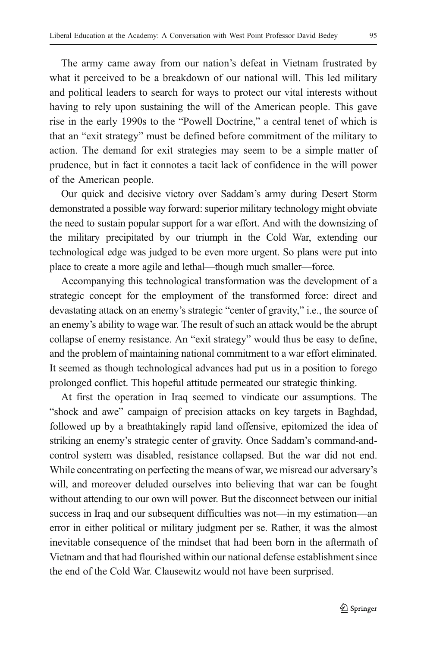The army came away from our nation's defeat in Vietnam frustrated by what it perceived to be a breakdown of our national will. This led military and political leaders to search for ways to protect our vital interests without having to rely upon sustaining the will of the American people. This gave rise in the early 1990s to the "Powell Doctrine," a central tenet of which is that an "exit strategy" must be defined before commitment of the military to action. The demand for exit strategies may seem to be a simple matter of prudence, but in fact it connotes a tacit lack of confidence in the will power of the American people.

Our quick and decisive victory over Saddam's army during Desert Storm demonstrated a possible way forward: superior military technology might obviate the need to sustain popular support for a war effort. And with the downsizing of the military precipitated by our triumph in the Cold War, extending our technological edge was judged to be even more urgent. So plans were put into place to create a more agile and lethal—though much smaller—force.

Accompanying this technological transformation was the development of a strategic concept for the employment of the transformed force: direct and devastating attack on an enemy's strategic "center of gravity," i.e., the source of an enemy's ability to wage war. The result of such an attack would be the abrupt collapse of enemy resistance. An "exit strategy" would thus be easy to define, and the problem of maintaining national commitment to a war effort eliminated. It seemed as though technological advances had put us in a position to forego prolonged conflict. This hopeful attitude permeated our strategic thinking.

At first the operation in Iraq seemed to vindicate our assumptions. The "shock and awe" campaign of precision attacks on key targets in Baghdad, followed up by a breathtakingly rapid land offensive, epitomized the idea of striking an enemy's strategic center of gravity. Once Saddam's command-andcontrol system was disabled, resistance collapsed. But the war did not end. While concentrating on perfecting the means of war, we misread our adversary's will, and moreover deluded ourselves into believing that war can be fought without attending to our own will power. But the disconnect between our initial success in Iraq and our subsequent difficulties was not—in my estimation—an error in either political or military judgment per se. Rather, it was the almost inevitable consequence of the mindset that had been born in the aftermath of Vietnam and that had flourished within our national defense establishment since the end of the Cold War. Clausewitz would not have been surprised.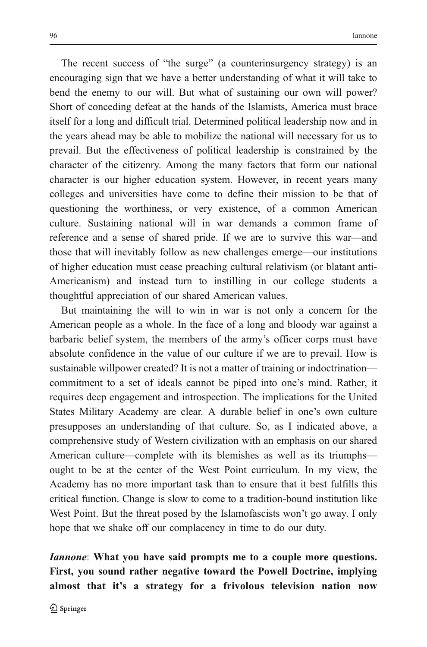The recent success of "the surge" (a counterinsurgency strategy) is an encouraging sign that we have a better understanding of what it will take to bend the enemy to our will. But what of sustaining our own will power? Short of conceding defeat at the hands of the Islamists, America must brace itself for a long and difficult trial. Determined political leadership now and in the years ahead may be able to mobilize the national will necessary for us to prevail. But the effectiveness of political leadership is constrained by the character of the citizenry. Among the many factors that form our national character is our higher education system. However, in recent years many colleges and universities have come to define their mission to be that of questioning the worthiness, or very existence, of a common American culture. Sustaining national will in war demands a common frame of reference and a sense of shared pride. If we are to survive this war—and those that will inevitably follow as new challenges emerge—our institutions of higher education must cease preaching cultural relativism (or blatant anti-Americanism) and instead turn to instilling in our college students a thoughtful appreciation of our shared American values.

But maintaining the will to win in war is not only a concern for the American people as a whole. In the face of a long and bloody war against a barbaric belief system, the members of the army's officer corps must have absolute confidence in the value of our culture if we are to prevail. How is sustainable willpower created? It is not a matter of training or indoctrination commitment to a set of ideals cannot be piped into one's mind. Rather, it requires deep engagement and introspection. The implications for the United States Military Academy are clear. A durable belief in one's own culture presupposes an understanding of that culture. So, as I indicated above, a comprehensive study of Western civilization with an emphasis on our shared American culture—complete with its blemishes as well as its triumphs ought to be at the center of the West Point curriculum. In my view, the Academy has no more important task than to ensure that it best fulfills this critical function. Change is slow to come to a tradition-bound institution like West Point. But the threat posed by the Islamofascists won't go away. I only hope that we shake off our complacency in time to do our duty.

Iannone: What you have said prompts me to a couple more questions. First, you sound rather negative toward the Powell Doctrine, implying almost that it's a strategy for a frivolous television nation now